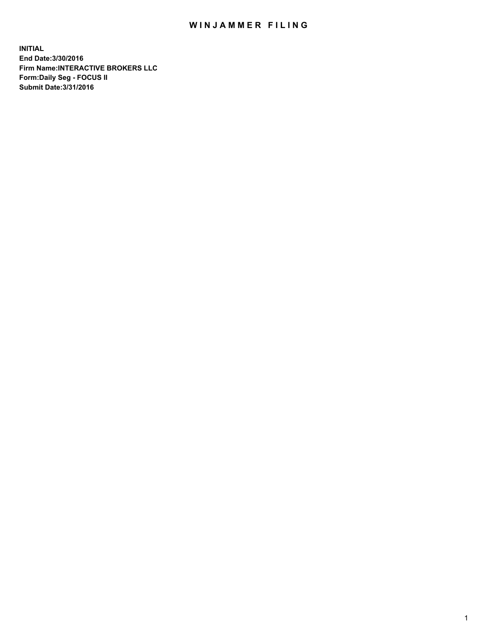## WIN JAMMER FILING

**INITIAL End Date:3/30/2016 Firm Name:INTERACTIVE BROKERS LLC Form:Daily Seg - FOCUS II Submit Date:3/31/2016**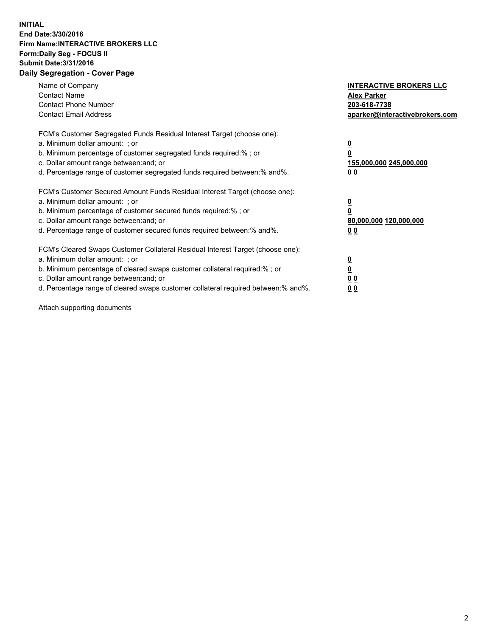## **INITIAL End Date:3/30/2016 Firm Name:INTERACTIVE BROKERS LLC Form:Daily Seg - FOCUS II Submit Date:3/31/2016 Daily Segregation - Cover Page**

| Name of Company<br><b>Contact Name</b><br><b>Contact Phone Number</b><br><b>Contact Email Address</b>                                                                                                                                                                                                                         | <b>INTERACTIVE BROKERS LLC</b><br><b>Alex Parker</b><br>203-618-7738<br>aparker@interactivebrokers.com |
|-------------------------------------------------------------------------------------------------------------------------------------------------------------------------------------------------------------------------------------------------------------------------------------------------------------------------------|--------------------------------------------------------------------------------------------------------|
| FCM's Customer Segregated Funds Residual Interest Target (choose one):<br>a. Minimum dollar amount: ; or<br>b. Minimum percentage of customer segregated funds required:% ; or<br>c. Dollar amount range between: and; or<br>d. Percentage range of customer segregated funds required between:% and%.                        | <u>0</u><br>155,000,000 245,000,000<br>0 <sub>0</sub>                                                  |
| FCM's Customer Secured Amount Funds Residual Interest Target (choose one):<br>a. Minimum dollar amount: ; or<br>b. Minimum percentage of customer secured funds required:%; or<br>c. Dollar amount range between: and; or<br>d. Percentage range of customer secured funds required between: % and %.                         | <u>0</u><br>80,000,000 120,000,000<br><u>00</u>                                                        |
| FCM's Cleared Swaps Customer Collateral Residual Interest Target (choose one):<br>a. Minimum dollar amount: ; or<br>b. Minimum percentage of cleared swaps customer collateral required:%; or<br>c. Dollar amount range between: and; or<br>d. Percentage range of cleared swaps customer collateral required between:% and%. | <u>0</u><br>0 <sub>0</sub><br>0 <sub>0</sub>                                                           |

Attach supporting documents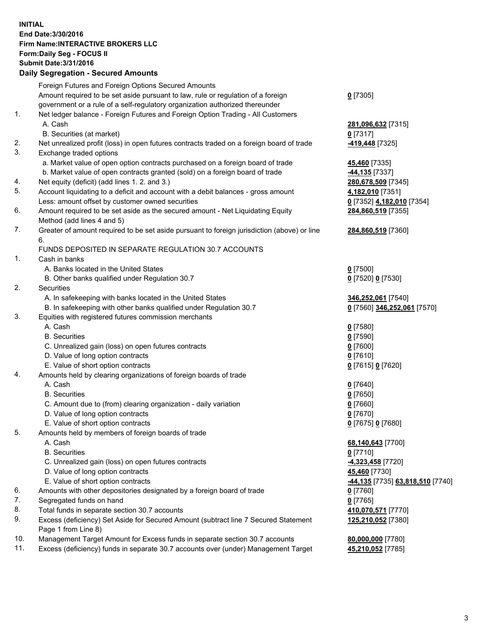## **INITIAL End Date:3/30/2016 Firm Name:INTERACTIVE BROKERS LLC Form:Daily Seg - FOCUS II Submit Date:3/31/2016 Daily Segregation - Secured Amounts**

|     | Foreign Futures and Foreign Options Secured Amounts                                         |                                  |
|-----|---------------------------------------------------------------------------------------------|----------------------------------|
|     | Amount required to be set aside pursuant to law, rule or regulation of a foreign            | $0$ [7305]                       |
|     | government or a rule of a self-regulatory organization authorized thereunder                |                                  |
| 1.  | Net ledger balance - Foreign Futures and Foreign Option Trading - All Customers             |                                  |
|     | A. Cash                                                                                     | 281,096,632 [7315]               |
|     | B. Securities (at market)                                                                   | $0$ [7317]                       |
| 2.  | Net unrealized profit (loss) in open futures contracts traded on a foreign board of trade   | -419,448 [7325]                  |
| 3.  | Exchange traded options                                                                     |                                  |
|     | a. Market value of open option contracts purchased on a foreign board of trade              | 45,460 [7335]                    |
|     | b. Market value of open contracts granted (sold) on a foreign board of trade                | -44,135 <sup>[7337]</sup>        |
| 4.  | Net equity (deficit) (add lines 1.2. and 3.)                                                | 280,678,509 [7345]               |
| 5.  | Account liquidating to a deficit and account with a debit balances - gross amount           | 4,182,010 [7351]                 |
|     | Less: amount offset by customer owned securities                                            | 0 [7352] 4,182,010 [7354]        |
| 6.  | Amount required to be set aside as the secured amount - Net Liquidating Equity              | 284,860,519 [7355]               |
|     | Method (add lines 4 and 5)                                                                  |                                  |
| 7.  | Greater of amount required to be set aside pursuant to foreign jurisdiction (above) or line | 284,860,519 [7360]               |
|     | 6.                                                                                          |                                  |
|     | FUNDS DEPOSITED IN SEPARATE REGULATION 30.7 ACCOUNTS                                        |                                  |
| 1.  | Cash in banks                                                                               |                                  |
|     | A. Banks located in the United States                                                       | $0$ [7500]                       |
|     | B. Other banks qualified under Regulation 30.7                                              | 0 [7520] 0 [7530]                |
| 2.  | Securities                                                                                  |                                  |
|     | A. In safekeeping with banks located in the United States                                   | 346,252,061 [7540]               |
|     | B. In safekeeping with other banks qualified under Regulation 30.7                          | 0 [7560] 346,252,061 [7570]      |
| 3.  | Equities with registered futures commission merchants                                       |                                  |
|     | A. Cash                                                                                     | $0$ [7580]                       |
|     | <b>B.</b> Securities                                                                        | $0$ [7590]                       |
|     | C. Unrealized gain (loss) on open futures contracts                                         | $0$ [7600]                       |
|     | D. Value of long option contracts                                                           | $0$ [7610]                       |
|     | E. Value of short option contracts                                                          | 0 [7615] 0 [7620]                |
| 4.  | Amounts held by clearing organizations of foreign boards of trade                           |                                  |
|     | A. Cash                                                                                     | $0$ [7640]                       |
|     | <b>B.</b> Securities                                                                        | $0$ [7650]                       |
|     | C. Amount due to (from) clearing organization - daily variation                             | $0$ [7660]                       |
|     | D. Value of long option contracts                                                           | $0$ [7670]                       |
|     | E. Value of short option contracts                                                          | 0 [7675] 0 [7680]                |
| 5.  | Amounts held by members of foreign boards of trade                                          |                                  |
|     | A. Cash                                                                                     | 68,140,643 [7700]                |
|     | <b>B.</b> Securities                                                                        | $0$ [7710]                       |
|     | C. Unrealized gain (loss) on open futures contracts                                         | -4,323,458 [7720]                |
|     | D. Value of long option contracts                                                           | 45,460 [7730]                    |
|     | E. Value of short option contracts                                                          | -44,135 [7735] 63,818,510 [7740] |
| 6.  | Amounts with other depositories designated by a foreign board of trade                      | $0$ [7760]                       |
| 7.  | Segregated funds on hand                                                                    | $0$ [7765]                       |
| 8.  | Total funds in separate section 30.7 accounts                                               | 410,070,571 [7770]               |
| 9.  | Excess (deficiency) Set Aside for Secured Amount (subtract line 7 Secured Statement         | 125,210,052 [7380]               |
|     | Page 1 from Line 8)                                                                         |                                  |
| 10. | Management Target Amount for Excess funds in separate section 30.7 accounts                 | 80,000,000 [7780]                |
| 11. | Excess (deficiency) funds in separate 30.7 accounts over (under) Management Target          | 45,210,052 [7785]                |
|     |                                                                                             |                                  |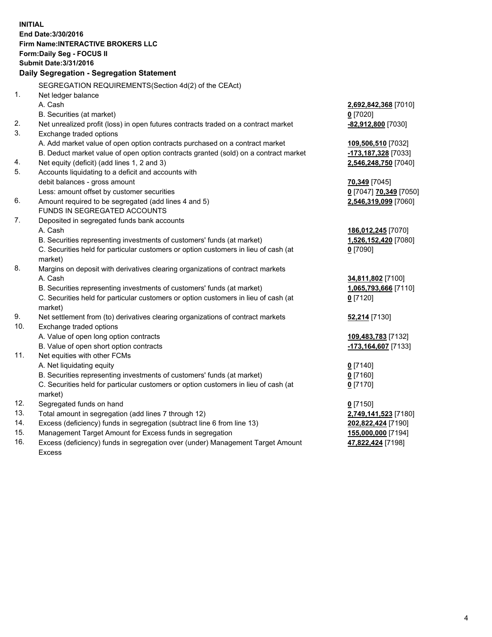**INITIAL End Date:3/30/2016 Firm Name:INTERACTIVE BROKERS LLC Form:Daily Seg - FOCUS II Submit Date:3/31/2016 Daily Segregation - Segregation Statement** SEGREGATION REQUIREMENTS(Section 4d(2) of the CEAct) 1. Net ledger balance A. Cash **2,692,842,368** [7010] B. Securities (at market) **0** [7020] 2. Net unrealized profit (loss) in open futures contracts traded on a contract market **-82,912,800** [7030] 3. Exchange traded options A. Add market value of open option contracts purchased on a contract market **109,506,510** [7032] B. Deduct market value of open option contracts granted (sold) on a contract market **-173,187,328** [7033] 4. Net equity (deficit) (add lines 1, 2 and 3) **2,546,248,750** [7040] 5. Accounts liquidating to a deficit and accounts with debit balances - gross amount **70,349** [7045] Less: amount offset by customer securities **0** [7047] **70,349** [7050] 6. Amount required to be segregated (add lines 4 and 5) **2,546,319,099** [7060] FUNDS IN SEGREGATED ACCOUNTS 7. Deposited in segregated funds bank accounts A. Cash **186,012,245** [7070] B. Securities representing investments of customers' funds (at market) **1,526,152,420** [7080] C. Securities held for particular customers or option customers in lieu of cash (at market) **0** [7090] 8. Margins on deposit with derivatives clearing organizations of contract markets A. Cash **34,811,802** [7100] B. Securities representing investments of customers' funds (at market) **1,065,793,666** [7110] C. Securities held for particular customers or option customers in lieu of cash (at market) **0** [7120] 9. Net settlement from (to) derivatives clearing organizations of contract markets **52,214** [7130] 10. Exchange traded options A. Value of open long option contracts **109,483,783** [7132] B. Value of open short option contracts **-173,164,607** [7133] 11. Net equities with other FCMs A. Net liquidating equity **0** [7140] B. Securities representing investments of customers' funds (at market) **0** [7160] C. Securities held for particular customers or option customers in lieu of cash (at market) **0** [7170] 12. Segregated funds on hand **0** [7150] 13. Total amount in segregation (add lines 7 through 12) **2,749,141,523** [7180] 14. Excess (deficiency) funds in segregation (subtract line 6 from line 13) **202,822,424** [7190] 15. Management Target Amount for Excess funds in segregation **155,000,000** [7194] 16. Excess (deficiency) funds in segregation over (under) Management Target Amount **47,822,424** [7198]

Excess